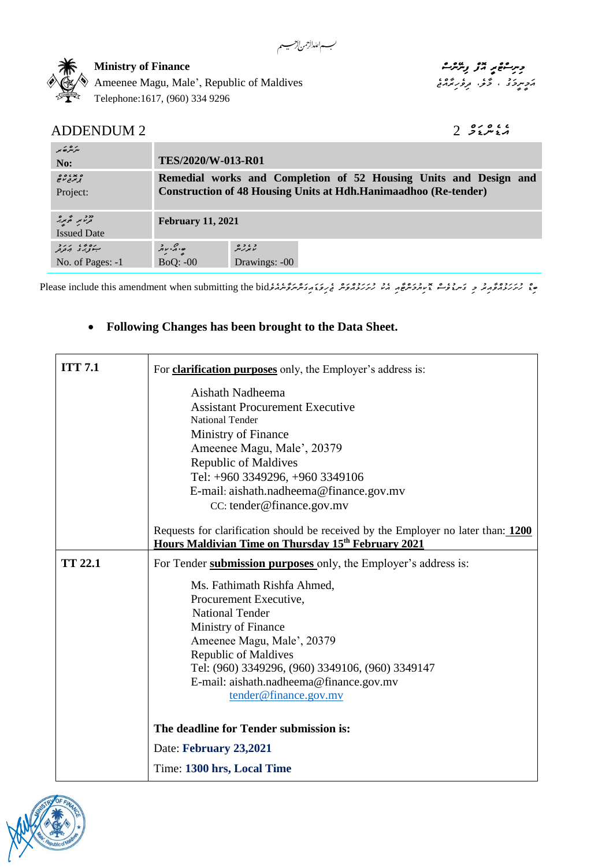*މިނިސްޓްރީ އޮފް ފިނޭންސް* **Finance of Ministry** *އަމީނީމަގު ، މާލ،ެ ދިވެހިރާއްޖެ* Maldives of Republic ,'Male ,Magu Ameenee Telephone:1617, (960) 334 9296

## *އެޑެންޑަމް* 2 2 ADDENDUM

| مترمرة بمر<br>No:                                            | TES/2020/W-013-R01         |                                                                                                                                            |  |
|--------------------------------------------------------------|----------------------------|--------------------------------------------------------------------------------------------------------------------------------------------|--|
| ه بد ، ه ه<br>تر بر د ر ه<br>Project:                        |                            | Remedial works and Completion of 52 Housing Units and Design and<br><b>Construction of 48 Housing Units at Hdh.Hanimaadhoo (Re-tender)</b> |  |
| <sup>בר ב</sup> המיקר.<br>בקטיק המיקר.<br><b>Issued Date</b> | <b>February 11, 2021</b>   |                                                                                                                                            |  |
| ب وه د د د د د<br>No. of Pages: -1                           | ە بۇ بىر بىر<br>$BoQ: -00$ | د ، د ه<br>بربر پېر<br>Drawings: -00                                                                                                       |  |

لبسه اللدارحمن لأرحسيه

مِعْ رُسَرَنَدْ رُحْمِدِنْر مِ يَسْمَوْحْتَ بِمَسِنْرُحْرُحْمِيْشْ مِنْ رَسَرَنَدْ مِنْ مِرْحَدَة مِنْ مَسْتَوَسْنَةَ شَرْحَدَة مِنْ مَسْتَوْسَنَةَ مِنْ مَسْتَوْسَنَةَ مُنْ مَسْتَوْسَنَةَ مُنْ مَسْتَوْسَنَةَ مُنْ مَسْتَوْ

## • **Following Changes has been brought to the Data Sheet.**

| <b>ITT 7.1</b> | For <b>clarification purposes</b> only, the Employer's address is:                                                                                                                                                                                                                  |
|----------------|-------------------------------------------------------------------------------------------------------------------------------------------------------------------------------------------------------------------------------------------------------------------------------------|
|                | Aishath Nadheema<br><b>Assistant Procurement Executive</b><br><b>National Tender</b><br>Ministry of Finance<br>Ameenee Magu, Male', 20379<br><b>Republic of Maldives</b><br>Tel: +960 3349296, +960 3349106<br>E-mail: aishath.nadheema@finance.gov.mv<br>CC: tender@finance.gov.mv |
|                | Requests for clarification should be received by the Employer no later than: 1200<br>Hours Maldivian Time on Thursday 15th February 2021                                                                                                                                            |
| <b>TT 22.1</b> | For Tender submission purposes only, the Employer's address is:<br>Ms. Fathimath Rishfa Ahmed,<br>Procurement Executive,<br><b>National Tender</b><br>Ministry of Finance<br>Ameenee Magu, Male', 20379<br><b>Republic of Maldives</b>                                              |
|                | Tel: (960) 3349296, (960) 3349106, (960) 3349147<br>E-mail: aishath.nadheema@finance.gov.mv<br>tender@finance.gov.mv                                                                                                                                                                |
|                | The deadline for Tender submission is:                                                                                                                                                                                                                                              |
|                | Date: February 23,2021                                                                                                                                                                                                                                                              |
|                | Time: 1300 hrs, Local Time                                                                                                                                                                                                                                                          |